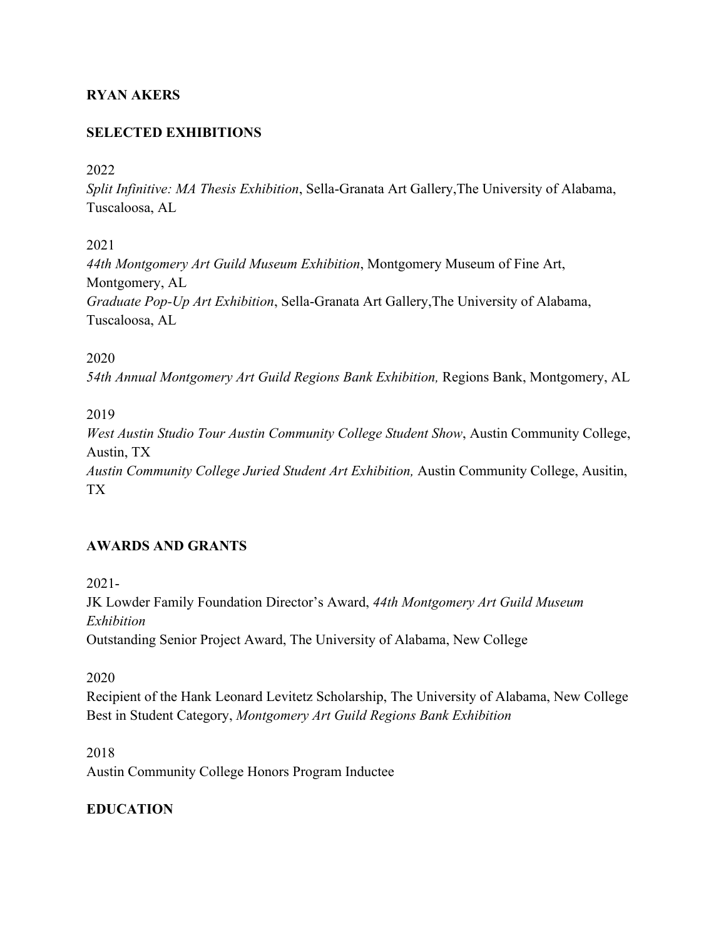# **RYAN AKERS**

## **SELECTED EXHIBITIONS**

#### 2022

*Split Infinitive: MA Thesis Exhibition*, Sella-Granata Art Gallery,The University of Alabama, Tuscaloosa, AL

2021

*44th Montgomery Art Guild Museum Exhibition*, Montgomery Museum of Fine Art, Montgomery, AL *Graduate Pop-Up Art Exhibition*, Sella-Granata Art Gallery,The University of Alabama, Tuscaloosa, AL

2020

*54th Annual Montgomery Art Guild Regions Bank Exhibition,* Regions Bank, Montgomery, AL

2019

*West Austin Studio Tour Austin Community College Student Show*, Austin Community College, Austin, TX *Austin Community College Juried Student Art Exhibition,* Austin Community College, Ausitin, TX

### **AWARDS AND GRANTS**

2021-

JK Lowder Family Foundation Director's Award, *44th Montgomery Art Guild Museum Exhibition* Outstanding Senior Project Award, The University of Alabama, New College

2020

Recipient of the Hank Leonard Levitetz Scholarship, The University of Alabama, New College Best in Student Category, *Montgomery Art Guild Regions Bank Exhibition*

2018 Austin Community College Honors Program Inductee

# **EDUCATION**